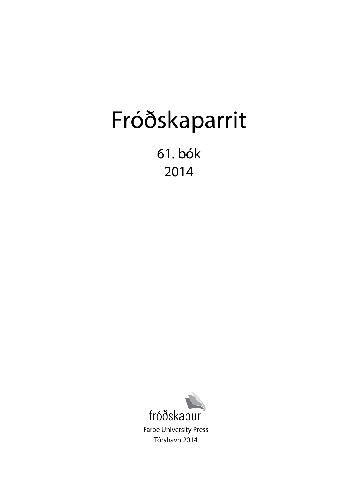# Fróðskaparrit

61. bók 2014

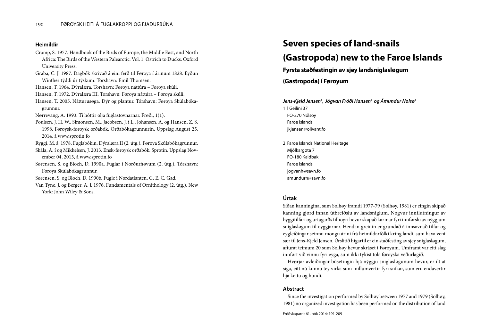#### **Heimildir**

- Cramp, S. 1977. Handbook of the Birds of Europe, the Middle East, and North Africa: The Birds of the Western Palearctic. Vol. 1: Ostrich to Ducks. Oxford University Press.
- Graba, C. J. 1987. Dagbók skrivað á eini ferð til Føroya í árinum 1828. Eyðun Winther týddi úr týskum. Tórshavn: Emil Thomsen.
- Hansen, T. 1964. Dýralæra. Torshavn: Føroya náttúra Føroya skúli.
- Hansen, T. 1972. Dýralæra III. Torshavn: Føroya náttúra Føroya skúli.
- Hansen, T. 2005. Nátturusøga. Dýr og plantur. Tórshavn: Føroya Skúlabókagrunnur.
- Nørrevang, A. 1993. Tí hóttir olja fuglastovnarnar. Frøði, 1(1).
- Poulsen, J. H. W., Simonsen, M., Jacobsen, J. í L., Johansen, A. og Hansen, Z. S. 1998. Føroysk-føroysk orðabók. Orðabókagrunnurin. Uppslag August 25, 2014, á www.sprotin.fo
- Ryggi, M. á. 1978. Fuglabókin. Dýralæra II (2. útg.). Føroya Skúlabókagrunnur. Skála, A. í og Mikkelsen, J. 2013. Ensk-føroysk orðabók. Sprotin. Uppslag Nov-
- ember 04, 2013, á www.sprotin.fo
- Sørensen, S. og Bloch, D. 1990a. Fuglar í Norðurhøvum (2. útg.). Tórshavn: Føroya Skúlabókagrunnur.
- Sørensen, S. og Bloch, D. 1990b. Fugle i Nordatlanten. G. E. C. Gad.
- Van Tyne, J. og Berger, A. J. 1976. Fundamentals of Ornithology (2. útg.). New York: John Wiley & Sons.

### **Seven species of land-snails**

### **(Gastropoda) new to the Faroe Islands**

#### **Fyrsta staðfestingin av sjey landsniglasløgum**

**(Gastropoda) í Føroyum**

*Jens-Kjeld Jensen1 , Jógvan Fróði Hansen2 og Ámundur Nolsø2* 1 Í Geilini 37 FO-270 Nólsoy Faroe Islands jkjensen@olivant.fo

2 Faroe Islands National Heritage Mjólkargøta 7 FO-180 Kaldbak Faroe Islands jogvanh@savn.fo amundurn@savn.fo

#### **Úrtak**

Síðan kanningina, sum Solhøy framdi 1977-79 (Solhøy, 1981) er eingin skipað kanning gjørd innan útbreiðslu av landsniglum. Nógvur innflutningur av byggitilfari og urtagarðs tilhoyri hevur skapað karmar fyri innførslu av nýggjum sniglasløgum til oyggjarnar. Hendan greinin er grundað á innsavnað tilfar og eygleiðingar seinnu mongu árini frá heimildarfólki kring landi, sum hava vent sær til Jens-Kjeld Jensen. Úrslitið higartil er ein staðfesting av sjey sniglasløgum, afturat teimum 20 sum Solhøy hevur skráset í Føroyum. Umframt var eitt slag innført við vinnu fyri eyga, sum ikki tykist tola føroyska veðurlagið.

Hvørjar avleiðingar búsetingin hjá nýggju sniglasløgunum hevur, er ilt at siga, eitt nú kunnu tey virka sum millumvertir fyri sníkar, sum eru endavertir hjá kettu og hundi.

#### **Abstract**

Since the investigation performed by Solhøy between 1977 and 1979 (Solhøy, 1981) no organized investigation has been performed on the distribution of land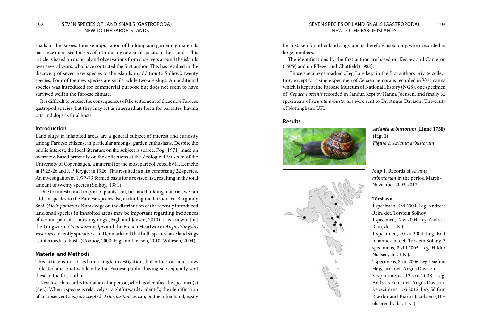snails in the Faroes. Intense importation of building and gardening materials has since increased the risk of introducing new snail species to the islands. This article is based on material and observations from observers around the islands over several years, who have contacted the first author. This has resulted in the discovery of seven new species to the islands in addition to Solhøy's twenty species. Four of the new species are snails, while two are slugs. An additional species was introduced for commercial purpose but does not seem to have survived well in the Faroese climate.

It is difficult to predict the consequences of the settlement of these new Faroese gastropod species, but they may act as intermediate hosts for parasites, having cats and dogs as final hosts.

#### **Introduction**

Land slugs in inhabited areas are a general subject of interest and curiosity among Faroese citizens, in particular amongst garden enthusiasts. Despite the public interest, the local literature on the subject is scarce. Fog (1971) made an overview, based primarily on the collections at the Zoological Museum of the University of Copenhagen, a material for the most part collected by H. Lemche in 1925-26 and J. P. Kryger in 1926. This resulted in a list comprising 22 species. An investigation in 1977-79 formed basis for a revised list, resulting in the total amount of twenty species (Solhøy, 1981).

Due to unrestrained import of plants, soil, turf and building material, we can add six species to the Faroese species list, excluding the introduced Burgundy Snail (*Helix pomatia*). Knowledge on the distribution of the recently introduced land snail species in inhabited areas may be important regarding incidences of certain parasites infesting dogs (Pagh and Jensen, 2010). It is known, that the Lungworm *Crenosoma vulpis* and the French Heartworm *Angiostrongylus vasorum* currently spreads *i.e.* in Denmark and that both species have land slugs as intermediate hosts (Conboy, 2000; Pagh and Jensen, 2010; Willesen, 2004).

#### **Material and Methods**

This article is not based on a single investigation, but rather on land slugs collected and photos taken by the Faroese public, having subsequently sent these to the first author.

Next to each record is the name of the person, who has identified the specimen(s) (det.). When a species is relatively straightforward to identify, the identification of an observer (obs.) is accepted. *Arion lusitanicus* can, on the other hand, easily

### NEW TO THE FAROE ISLANDS

be mistaken for other land slugs, and is therefore listed only, when recorded in large numbers.

The identifications by the first author are based on Kerney and Cameron (1979) and on Pfleger and Chatfield (1988).

Those specimens marked "Leg." are kept in the first authors private collection, except for a single specimen of Cepaea nemoralis recorded in Vestmanna which is kept at the Faroese Museum of National History (NGS), one specimen of *Cepaea hortenis* recorded in Sandur, kept by Hanna Joensen, and finally 52 specimens of *Arianta arbustorum* were sent to Dr. Angus Davison, University of Nottingham, UK.

#### **Results**



*Arianta arbustorum* **(Linné 1758) (Fig. 1)**  *Figure 1. Arianta arbustorum*



*Map 1.* Records of *Arianta arbustorum* in the period March-November 2003-2012.

#### **Tórshavn**

1 specimen, 6.vi.2004. Leg. Andreas Rein, det. Torstein Solhøy. 1 specimen, 17.vi.2004. Leg. Andreas Rein, det. J-K.J. 1 specimen, 10.vii.2004. Leg. Edit Johannesen, det. Torstein Solhøy. 3 specimens, 8.viii.2005. Leg. Hildur Nielsen, det. J-K.J. 2 specimens, 8.viii.2006. Leg. Dagfinn Højgaard, det. Angus Davison.

3 specimens, 12.viii.2008. Leg. Andreas Rein, det. Angus Davison. 2 specimens, 1.xi.2012. Leg. Sólfinn Kjærbo and Bjarni Jacobsen (10+ observed), det. J-K. J.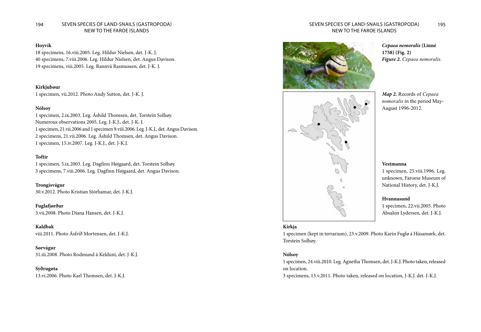#### 194 SEVEN SPECIES OF LAND-SNAILS (GASTROPODA) 195 NEW TO THE FAROE ISLANDS

#### **Hoyvík**

18 specimens, 16.viii.2005. Leg. Hildur Nielsen, det. J-K. J. 40 specimens, 7.viii.2006. Leg. Hildur Nielsen, det. Angus Davison. 19 specimens, viii.2005. Leg. Rannvá Rasmussen, det. J-K. J.

#### **Kirkjubøur**

1 specimen, vii.2012. Photo Andy Sutton, det. J-K. J.

#### **Nólsoy**

1 specimen, 2.ix.2003. Leg. Áshild Thomsen, det. Torstein Solhøy. Numerous observations 2005. Leg. J-K.J., det. J-K. J. 1 specimen, 21.vii.2006 and 1 specimen 9.viii.2006. Leg. J-K.J., det. Angus Davison. 2 specimens, 21.vii.2006. Leg. Áshild Thomsen, det. Angus Davison. 1 specimen, 15.iv.2007. Leg. J-K.J., det. J-K.J.

#### **Toftir**

1 specimen, 5.ix.2003. Leg. Dagfinn Højgaard, det. Torstein Solhøy. 3 specimens, 7.viii.2006. Leg. Dagfinn Højgaard, det. Angus Davison.

**Trongisvágur** 30.v.2012. Photo Kristian Stórhamar, det. J-K.J.

**Fuglafjørður** 3.vii.2008. Photo Diana Hansen, det. J-K.J.

**Kaldbak** viii.2011. Photo Ásfríð Mortensen, det. J-K.J.

**Sørvágur** 31.iii.2008. Photo Rodmund á Kelduni, det. J-K.J.

**Syðrugøta** 13.vi.2006. Photo Karl Thomsen, det. J-K.J.

#### SEVEN SPECIES OF LAND-SNAILS (GASTROPODA) NEW TO THE FAROE ISLANDS





*Cepaea nemoralis* **(Linné 1758) (Fig. 2)** *Figure 2. Cepaea nemoralis.*

*Map 2.* Records of *Cepaea nomoralis* in the period May-August 1996-2012.

#### **Vestmanna**

1 specimen, 25.viii.1996. Leg. unknown, Faroese Museum of National History, det. J-K.J.

#### **Hvannasund**

1 specimen, 22.vii.2005. Photo Absalon Lydersen, det. J-K.J.

#### **Kirkja**

1 specimen (kept in terrarium), 23.v.2009. Photo Karin Fuglø á Húsamørk, det. Torstein Solhøy.

#### **Nólsoy**

1 specimen, 24.viii.2010. Leg. Agnetha Thomsen, det. J-K.J. Photo taken, released on location.

3 specimens, 13.v.2011. Photo taken, released on location, J-K.J. det. J-K.J.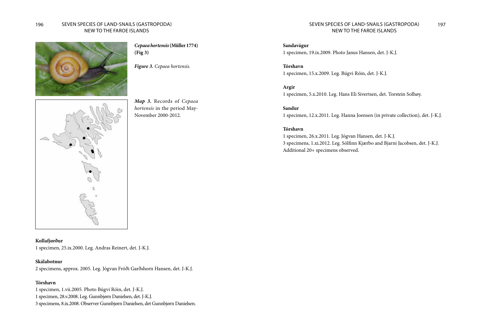

*Cepaea hortensis* **(Müller 1774) (Fig 3)**

*Figure 3. Cepaea hortensis.*

*Map 3.* Records of *Cepaea hortensis* in the period May-

November 2000-2012.



**Kollafjørður** 1 specimen, 25.ix.2000. Leg. Andras Reinert, det. J-K.J.

#### **Skálabotnur**

2 specimens, approx. 2005. Leg. Jógvan Fróði Garðshorn Hansen, det. J-K.J.

#### **Tórshavn**

1 specimen, 1.vii.2005. Photo Búgvi Róin, det. J-K.J. 1 specimen, 28.v.2008. Leg. Gunnbjørn Danielsen, det. J-K.J.

3 specimens, 8.ix.2008. Observer Gunnbjørn Danielsen, det Gunnbjørn Danielsen.

#### SEVEN SPECIES OF LAND-SNAILS (GASTROPODA) NEW TO THE FAROE ISLANDS

**Sandavágur** 1 specimen, 19.ix.2009. Photo Janus Hansen, det. J-K.J.

**Tórshavn** 1 specimen, 15.x.2009. Leg. Búgvi Róin, det. J-K.J.

**Argir** 1 specimen, 5.x.2010. Leg. Hans Eli Sivertsen, det. Torstein Solhøy.

**Sandur** 1 specimen, 12.x.2011. Leg. Hanna Joensen (in private collection), det. J-K.J.

#### **Tórshavn**

1 specimen, 26.x.2011. Leg. Jógvan Hansen, det. J-K.J. 3 specimens, 1.xi.2012. Leg. Sólfinn Kjærbo and Bjarni Jacobsen, det. J-K.J. Additional 20+ specimens observed.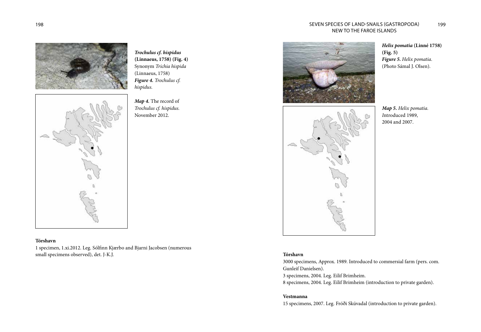#### 198 SEVEN SPECIES OF LAND-SNAILS (GASTROPODA) 199 NEW TO THE FAROE ISLANDS

*Trochulus cf. hispidus* **(Linnaeus, 1758) (Fig. 4)** Synonym *Trichia hispida* 

(Linnaeus, 1758) *Figure 4. Trochulus cf.* 

*Map 4.* The record of *Trochulus cf. hispidus.*  November 2012.

*hispidus.*



#### **Tórshavn**

1 specimen, 1.xi.2012. Leg. Sólfinn Kjærbo and Bjarni Jacobsen (numerous small specimens observed), det. J-K.J.





*Helix pomatia* **(Linné 1758) (Fig. 5)** *Figure 5. Helix pomatia*. (Photo Sámal J. Olsen).

*Map 5. Helix pomatia. I*ntroduced 1989, 2004 and 2007.

#### **Tórshavn**

3000 specimens, Approx. 1989. Introduced to commersial farm (pers. com. Gunleif Danielsen). 3 specimens, 2004. Leg. Eilif Brimheim. 8 specimens, 2004. Leg. Eilif Brimheim (introduction to private garden).

#### **Vestmanna**

15 specimens, 2007. Leg. Fróði Skúvadal (introduction to private garden).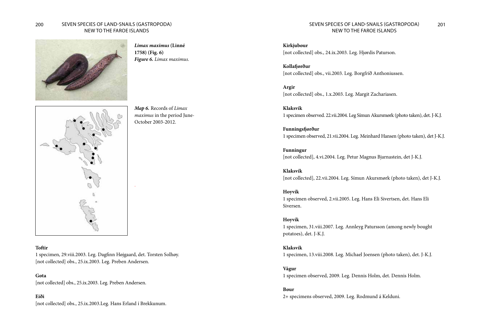#### 200 201 SEVEN SPECIES OF LAND-SNAILS (GASTROPODA) NEW TO THE FAROE ISLANDS



*Limax maximus* **(Linné 1758) (Fig. 6)** *Figure 6. Limax maximus.*

*Map 6.* Records of *Limax maximus* in the period June-October 2003-2012.



#### **Toftir**

1 specimen, 29.viii.2003. Leg. Dagfinn Højgaard, det. Torsten Solhøy. [not collected] obs., 25.ix.2003. Leg. Preben Andersen.

-

**Gøta** [not collected] obs., 25.ix.2003. Leg. Preben Andersen.

#### **Eiði**

[not collected] obs., 25.ix.2003.Leg. Hans Erland í Brekkunum.

#### SEVEN SPECIES OF LAND-SNAILS (GASTROPODA) NEW TO THE FAROE ISLANDS

**Kirkjubøur** [not collected] obs., 24.ix.2003. Leg. Hjørdis Paturson.

**Kollafjørður** [not collected] obs., vii.2003. Leg. Borgfríð Anthoniussen.

**Argir** [not collected] obs., 1.x.2003. Leg. Margit Zachariasen.

**Klaksvík** 1 specimen observed. 22.vii.2004. Leg Símun Akursmørk (photo taken), det. J-K.J.

**Funningsfjørður** 1 specimen observed, 21.vii.2004. Leg. Meinhard Hansen (photo taken), det J-K.J.

**Funningur** [not collected], 4.vi.2004. Leg. Petur Magnus Bjarnastein, det J-K.J.

**Klaksvík** [not collected], 22.vii.2004. Leg. Símun Akursmørk (photo taken), det J-K.J.

#### **Hoyvík**

1 specimen observed, 2.vii.2005. Leg. Hans Eli Sivertsen, det. Hans Eli Siversen.

#### **Hoyvík**

1 specimen, 31.viii.2007. Leg. Annleyg Patursson (among newly bought potatoes), det. J-K.J.

#### **Klaksvík**

1 specimen, 13.viii.2008. Leg. Michael Joensen (photo taken), det. J-K.J.

**Vágur**

1 specimen observed, 2009. Leg. Dennis Holm, det. Dennis Holm.

#### **Bøur**

2+ specimens observed, 2009. Leg. Rodmund á Kelduni.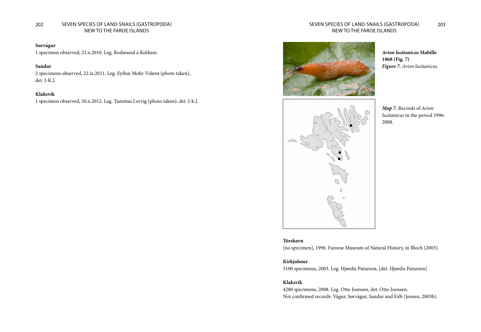#### 202 SEVEN SPECIES OF LAND-SNAILS (GASTROPODA) 203 NEW TO THE FAROE ISLANDS

#### **Sørvágur**

1 specimen observed, 21.x.2010. Leg. Rodmund á Kelduni.

#### **Sandur**

2 specimens observed, 22.ix.2011. Leg. Eyðun Mohr Viderø (photo taken), det. J-K.J.

#### **Klaksvík**

1 specimen observed, 30.x.2012. Leg. Tummas Lervig (photo taken), det. J-k.J.

#### SEVEN SPECIES OF LAND-SNAILS (GASTROPODA) NEW TO THE FAROE ISLANDS



*Arion lusitanicus* **Mabille 1868 (Fig. 7)**  *Figure 7. Arion lusitanicus.*



*Map 7.* Records of *Arion lusitanicus* in the period 1996- 2008.

#### **Tórshavn** [no specimen], 1996. Faroese Museum of Natural History, in Bloch (2003).

#### **Kirkjubøur**

5100 specimens, 2003. Leg. Hjørdis Paturson, [det. Hjørdis Paturson].

#### **Klaksvík**

4280 specimens, 2008. Leg. Otto Joensen, det. Otto Joensen. Not confirmed records: Vágur, Sørvágur, Sandur and Eiði (Jensen, 2003b).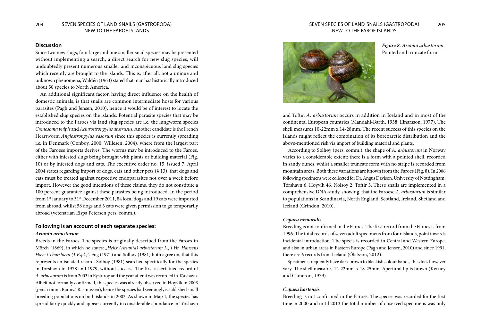#### **Discussion**

Since two new slugs, four large and one smaller snail species may be presented without implementing a search, a direct search for new slug species, will undoubtedly present numerous smaller and inconspicuous land slug species which recently are brought to the islands. This is, after all, not a unique and unknown phenomena, Waldén (1963) stated that man has historically introduced about 50 species to North America.

An additional significant factor, having direct influence on the health of domestic animals, is that snails are common intermediate hosts for various parasites (Pagh and Jensen, 2010), hence it would be of interest to locate the established slug species on the islands. Potential parasite species that may be introduced to the Faroes via land slug species are i.e. the lungworm species *Crenosoma vulpis* and *Aelurostrongylus abstrusus*. Another candidate is the French Heartworm *Angiostrongylus vasorum* since this species is currently spreading i.e. in Denmark (Conboy, 2000; Willesen, 2004), where from the largest part of the Faroese imports derives. The worms may be introduced to the Faroes, either with infested slugs being brought with plants or building material (Fig. 10) or by infested dogs and cats. The executive order no. 15, issued 7. April 2004 states regarding import of dogs, cats and other pets (§ 13), that dogs and cats must be treated against respective endoparasites not over a week before import. However the good intentions of these claims, they do not constitute a 100 percent guarantee against these parasites being introduced. In the period from 1<sup>st</sup> January to 31<sup>st</sup> December 2011, 84 local dogs and 19 cats were imported from abroad, whilst 58 dogs and 3 cats were given permission to go temporarily abroad (vetenarian Elspa Petersen pers. comm.).

#### **Following is an account of each separate species:** *Arianta arbustorum*

Breeds in the Faroes. The species is originally described from the Faroes in Mörch (1869), in which he states: "Helix (Arianta) arbustorum L., i Hr. Hansens *Have i Thorshavn (1 Espl.)*". Fog (1971) and Solhøy (1981) both agree on, that this represents an isolated record. Solhøy (1981) searched specifically for the species in Tórshavn in 1978 and 1979, without success. The first ascertained record of *A. arbustorum* is from 2003 in Eysturoy and the year after it was recorded in Tórshavn. Albeit not formally confirmed, the species was already observed in Hoyvík in 2003 (pers. comm. Rannvá Rasmussen), hence the species had seemingly established small breeding populations on both islands in 2003. As shown in Map 1, the species has spread fairly quickly and appear currently in considerable abundance in Tórshavn

# NEW TO THE FAROE ISLANDS



*Figure 8. Arianta arbustorum.* Pointed and truncate form.

and Toftir. *A. arbustorum* occurs in addition in Iceland and in most of the continental European countries (Mandahl-Barth, 1938; Einarsson, 1977). The shell measures 10-22mm x 14-28mm. The recent success of this species on the islands might reflect the combination of its boreoarctic distribution and the above-mentioned risk via import of building material and plants.

According to Solhøy (pers. comm.), the shape of *A. arbustorum* in Norway varies to a considerable extent; there is a form with a pointed shell, recorded in sandy dunes, whilst a smaller truncate form with no stripe is recorded from mountain areas. Both these variations are known from the Faroes (Fig. 8). In 2006 following specimens were collected for Dr. Angus Davison, University of Nottingham: Tórshavn 6, Hoyvík 46, Nólsoy 2, Toftir 3. These snails are implemented in a comprehensive DNA-study, showing, that the Faroese *A. arbustorum* is similar to populations in Scandinavia, North England, Scotland, Ireland, Shetland and Iceland (Grindon, 2010).

#### *Cepaea nemoralis*

Breeding is not confirmed in the Faroes. The first record from the Faroes is from 1996. The total records of seven adult specimens from four islands, point towards incidental introduction. The specis is recorded in Central and Western Europe, and also in urban areas in Eastern Europe (Pagh and Jensen, 2010) and since 1991, there are 6 records from Iceland (Ólafsson, 2012).

Specimens frequently have dark brown to blackish colour bands, this does however vary. The shell measures 12-22mm. x 18-25mm. Apertural lip is brown (Kerney and Cameron, 1979).

#### *Cepaea hortensis*

Breeding is not confirmed in the Faroes. The species was recorded for the first time in 2000 and until 2013 the total number of observed specimens was only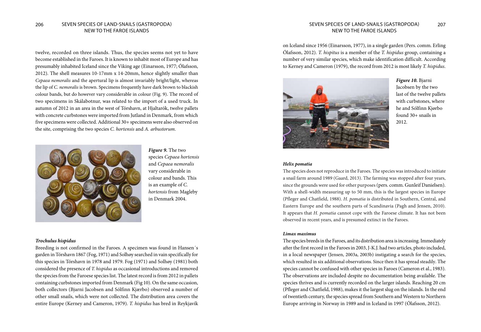## NEW TO THE FAROE ISLANDS

twelve, recorded on three islands. Thus, the species seems not yet to have become established in the Faroes. It is known to inhabit most of Europe and has presumably inhabited Iceland since the Viking age (Einarsson, 1977; Ólafsson, 2012). The shell measures 10-17mm x 14-20mm, hence slightly smaller than *Cepaea nemoralis* and the apertural lip is almost invariably bright/light, whereas the lip of *C. nemoralis* is brown. Specimens frequently have dark brown to blackish colour bands, but do however vary considerable in colour (Fig. 9). The record of two specimens in Skálabotnur, was related to the import of a used truck. In autumn of 2012 in an area in the west of Tórshavn, at Hjaltarók, twelve pallets with concrete curbstones were imported from Jutland in Denmark, from which five specimens were collected. Additional 30+ specimens were also observed on the site, comprising the two species *C. hortensis* and *A. arbustorum*.



*Figure 9.* The two species *Cepaea hortensis* and *Cepaea nemoralis*  vary considerable in colour and bands. This is an example of *C. hortensis* from Magleby in Denmark 2004.

#### *Trochulus hispidus*

Breeding is not confirmed in the Faroes. A specimen was found in Hansen´s garden in Tórshavn 1867 (Fog, 1971) and Solhøy searched in vain specifically for this species in Tórshavn in 1978 and 1979. Fog (1971) and Solhøy (1981) both considered the presence of *T. hispidus* as occasional introductions and removed the species from the Faroese species list. The latest record is from 2012 in pallets containing curbstones imported from Denmark (Fig 10). On the same occasion, both collectors (Bjarni Jacobsen and Sólfinn Kjærbo) observed a number of other small snails, which were not collected. The distribution area covers the entire Europe (Kerney and Cameron, 1979). *T. hispidus* has bred in Reykjavík

#### 206 SEVEN SPECIES OF LAND-SNAILS (GASTROPODA) 207 SEVEN SPECIES OF LAND-SNAILS (GASTROPODA) NEW TO THE FAROE ISLANDS

on Iceland since 1956 (Einarsson, 1977), in a single garden (Pers. comm. Erling Ólafsson, 2012). *T. hispitus* is a member of the *T. hispidus* group, containing a number of very similar species, which make identification difficult. According to Kerney and Cameron (1979), the record from 2012 is most likely *T. hispidus*.



*Figure 10.* Bjarni Jacobsen by the two last of the twelve pallets with curbstones, where he and Sólfinn Kjørbo found 30+ snails in 2012.

#### *Helix pomatia*

The species does not reproduce in the Faroes. The species was introduced to initiate a snail farm around 1989 (Gaard, 2013). The farming was stopped after four years, since the grounds were used for other purposes (pers. comm. Gunleif Danielsen). With a shell-width measuring up to 50 mm, this is the largest species in Europe (Pfleger and Chatfield, 1988). *H. pomatia* is distributed in Southern, Central, and Eastern Europe and the southern parts of Scandinavia (Pagh and Jensen, 2010). It appears that *H. pomatia* cannot cope with the Faroese climate. It has not been observed in recent years, and is presumed extinct in the Faroes.

#### *Limax maximus*

The species breeds in the Faroes, and its distribution area is increasing. Immediately after the first record in the Faroes in 2003, J-K.J. had two articles, photo included, in a local newspaper (Jensen, 2003a, 2003b) instigating a search for the species, which resulted in six additional observations. Since then it has spread steadily. The species cannot be confused with other species in Faroes (Cameron et al., 1983). The observations are included despite no documentation being available. The species thrives and is currently recorded on the larger islands. Reaching 20 cm (Pfleger and Chatfield, 1988), makes it the largest slug on the islands. In the end of twentieth century, the species spread from Southern and Western to Northern Europe arriving in Norway in 1989 and in Iceland in 1997 (Ólafsson, 2012).